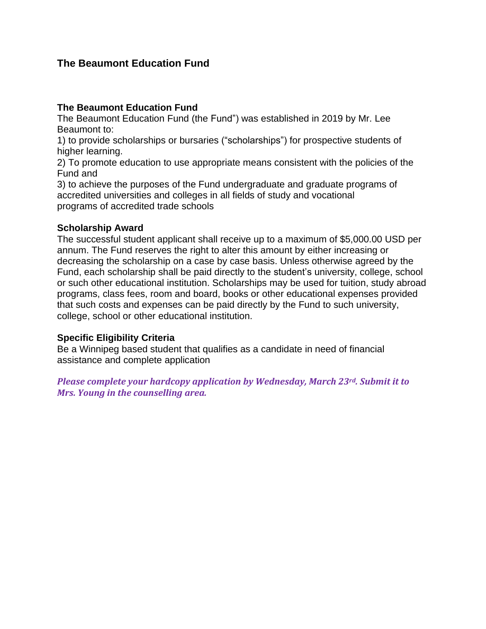## **The Beaumont Education Fund**

#### **The Beaumont Education Fund**

The Beaumont Education Fund (the Fund") was established in 2019 by Mr. Lee Beaumont to:

1) to provide scholarships or bursaries ("scholarships") for prospective students of higher learning.

2) To promote education to use appropriate means consistent with the policies of the Fund and

3) to achieve the purposes of the Fund undergraduate and graduate programs of accredited universities and colleges in all fields of study and vocational programs of accredited trade schools

#### **Scholarship Award**

The successful student applicant shall receive up to a maximum of \$5,000.00 USD per annum. The Fund reserves the right to alter this amount by either increasing or decreasing the scholarship on a case by case basis. Unless otherwise agreed by the Fund, each scholarship shall be paid directly to the student's university, college, school or such other educational institution. Scholarships may be used for tuition, study abroad programs, class fees, room and board, books or other educational expenses provided that such costs and expenses can be paid directly by the Fund to such university, college, school or other educational institution.

#### **Specific Eligibility Criteria**

Be a Winnipeg based student that qualifies as a candidate in need of financial assistance and complete application

*Please complete your hardcopy application by Wednesday, March 23rd. Submit it to Mrs. Young in the counselling area.*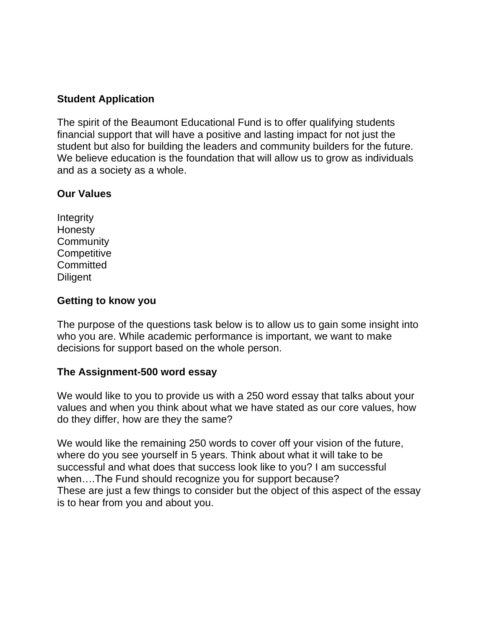### **Student Application**

The spirit of the Beaumont Educational Fund is to offer qualifying students financial support that will have a positive and lasting impact for not just the student but also for building the leaders and community builders for the future. We believe education is the foundation that will allow us to grow as individuals and as a society as a whole.

# **Our Values**

**Integrity Honesty Community Competitive Committed Diligent** 

## **Getting to know you**

The purpose of the questions task below is to allow us to gain some insight into who you are. While academic performance is important, we want to make decisions for support based on the whole person.

### **The Assignment-500 word essay**

We would like to you to provide us with a 250 word essay that talks about your values and when you think about what we have stated as our core values, how do they differ, how are they the same?

We would like the remaining 250 words to cover off your vision of the future, where do you see yourself in 5 years. Think about what it will take to be successful and what does that success look like to you? I am successful when….The Fund should recognize you for support because? These are just a few things to consider but the object of this aspect of the essay is to hear from you and about you.